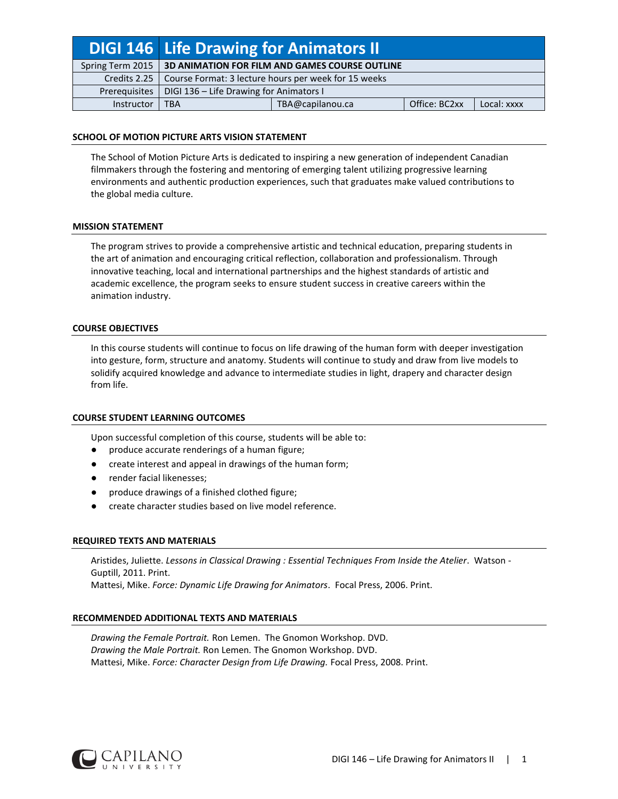|                  | DIGI 146 Life Drawing for Animators II               |                  |               |             |
|------------------|------------------------------------------------------|------------------|---------------|-------------|
| Spring Term 2015 | 3D ANIMATION FOR FILM AND GAMES COURSE OUTLINE       |                  |               |             |
| Credits 2.25     | Course Format: 3 lecture hours per week for 15 weeks |                  |               |             |
| Prerequisites    | DIGI 136 - Life Drawing for Animators I              |                  |               |             |
| Instructor       | <b>TBA</b>                                           | TBA@capilanou.ca | Office: BC2xx | Local: xxxx |

# **SCHOOL OF MOTION PICTURE ARTS VISION STATEMENT**

The School of Motion Picture Arts is dedicated to inspiring a new generation of independent Canadian filmmakers through the fostering and mentoring of emerging talent utilizing progressive learning environments and authentic production experiences, such that graduates make valued contributions to the global media culture.

# **MISSION STATEMENT**

The program strives to provide a comprehensive artistic and technical education, preparing students in the art of animation and encouraging critical reflection, collaboration and professionalism. Through innovative teaching, local and international partnerships and the highest standards of artistic and academic excellence, the program seeks to ensure student success in creative careers within the animation industry.

### **COURSE OBJECTIVES**

In this course students will continue to focus on life drawing of the human form with deeper investigation into gesture, form, structure and anatomy. Students will continue to study and draw from live models to solidify acquired knowledge and advance to intermediate studies in light, drapery and character design from life.

#### **COURSE STUDENT LEARNING OUTCOMES**

Upon successful completion of this course, students will be able to:

- produce accurate renderings of a human figure;
- create interest and appeal in drawings of the human form;
- render facial likenesses;
- produce drawings of a finished clothed figure;
- create character studies based on live model reference.

#### **REQUIRED TEXTS AND MATERIALS**

Aristides, Juliette. *Lessons in Classical Drawing : Essential Techniques From Inside the Atelier*. Watson - Guptill, 2011. Print. Mattesi, Mike. *Force: Dynamic Life Drawing for Animators*. Focal Press, 2006. Print.

#### **RECOMMENDED ADDITIONAL TEXTS AND MATERIALS**

*Drawing the Female Portrait.* Ron Lemen. The Gnomon Workshop. DVD. *Drawing the Male Portrait.* Ron Lemen*.* The Gnomon Workshop. DVD. Mattesi, Mike. *Force: Character Design from Life Drawing.* Focal Press, 2008. Print.

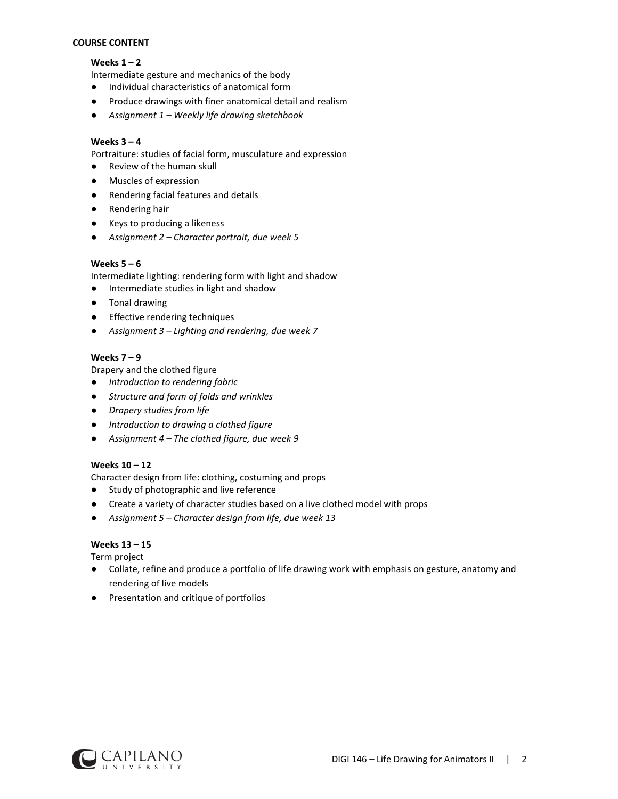# **COURSE CONTENT**

# **Weeks 1 – 2**

Intermediate gesture and mechanics of the body

- Individual characteristics of anatomical form
- Produce drawings with finer anatomical detail and realism
- *Assignment 1 – Weekly life drawing sketchbook*

# **Weeks 3 – 4**

Portraiture: studies of facial form, musculature and expression

- Review of the human skull
- Muscles of expression
- Rendering facial features and details
- Rendering hair
- Keys to producing a likeness
- *Assignment 2 – Character portrait, due week 5*

# **Weeks 5 – 6**

Intermediate lighting: rendering form with light and shadow

- Intermediate studies in light and shadow
- Tonal drawing
- Effective rendering techniques
- *Assignment 3 – Lighting and rendering, due week 7*

# **Weeks 7 – 9**

Drapery and the clothed figure

- *Introduction to rendering fabric*
- *Structure and form of folds and wrinkles*
- *Drapery studies from life*
- *Introduction to drawing a clothed figure*
- *Assignment 4 – The clothed figure, due week 9*

# **Weeks 10 – 12**

Character design from life: clothing, costuming and props

- Study of photographic and live reference
- Create a variety of character studies based on a live clothed model with props
- *Assignment 5 – Character design from life, due week 13*

# **Weeks 13 – 15**

Term project

- Collate, refine and produce a portfolio of life drawing work with emphasis on gesture, anatomy and rendering of live models
- Presentation and critique of portfolios

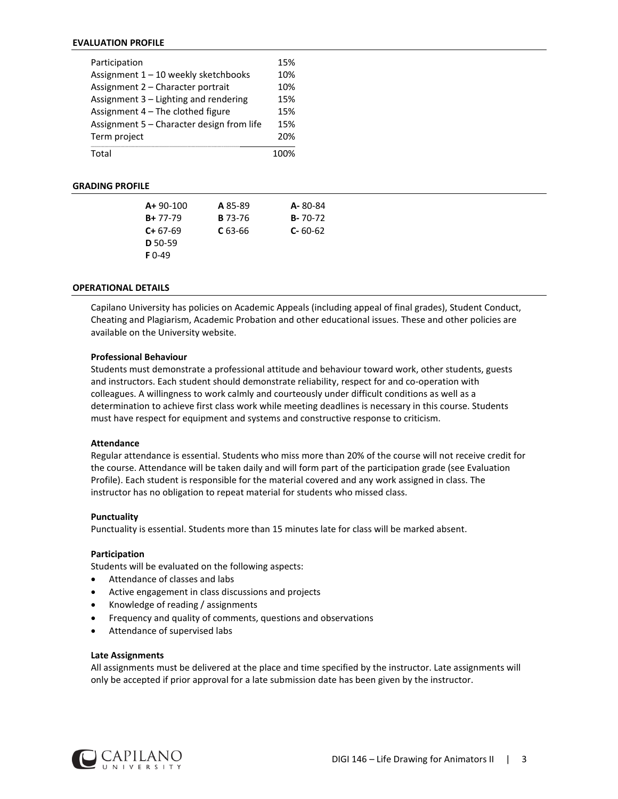### **EVALUATION PROFILE**

| Participation                             | 15% |
|-------------------------------------------|-----|
| Assignment 1 - 10 weekly sketchbooks      | 10% |
| Assignment 2 - Character portrait         | 10% |
| Assignment 3 - Lighting and rendering     | 15% |
| Assignment 4 - The clothed figure         | 15% |
| Assignment 5 - Character design from life | 15% |
| Term project                              | 20% |
| Total                                     |     |

# **GRADING PROFILE**

| $A + 90 - 100$ | A 85-89        | A-80-84       |
|----------------|----------------|---------------|
| $B + 77 - 79$  | <b>B</b> 73-76 | $B - 70 - 72$ |
| $C+67-69$      | $C$ 63-66      | $C - 60 - 62$ |
| $D$ 50-59      |                |               |
| <b>F</b> 0-49  |                |               |

## **OPERATIONAL DETAILS**

Capilano University has policies on Academic Appeals (including appeal of final grades), Student Conduct, Cheating and Plagiarism, Academic Probation and other educational issues. These and other policies are available on the University website.

#### **Professional Behaviour**

Students must demonstrate a professional attitude and behaviour toward work, other students, guests and instructors. Each student should demonstrate reliability, respect for and co-operation with colleagues. A willingness to work calmly and courteously under difficult conditions as well as a determination to achieve first class work while meeting deadlines is necessary in this course. Students must have respect for equipment and systems and constructive response to criticism.

#### **Attendance**

Regular attendance is essential. Students who miss more than 20% of the course will not receive credit for the course. Attendance will be taken daily and will form part of the participation grade (see Evaluation Profile). Each student is responsible for the material covered and any work assigned in class. The instructor has no obligation to repeat material for students who missed class.

#### **Punctuality**

Punctuality is essential. Students more than 15 minutes late for class will be marked absent.

#### **Participation**

Students will be evaluated on the following aspects:

- Attendance of classes and labs
- Active engagement in class discussions and projects
- Knowledge of reading / assignments
- Frequency and quality of comments, questions and observations
- Attendance of supervised labs

#### **Late Assignments**

All assignments must be delivered at the place and time specified by the instructor. Late assignments will only be accepted if prior approval for a late submission date has been given by the instructor.